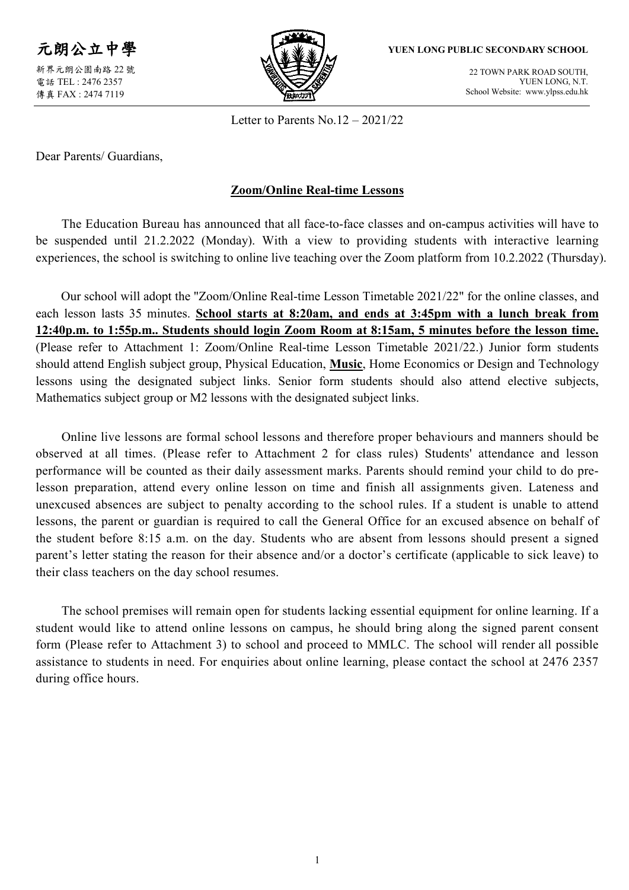元朗公立中學 新界元朗公園南路 22 號 電話 TEL : 2476 2357 傳真 FAX : 2474 7119



**YUEN LONG PUBLIC SECONDARY SCHOOL**

22 TOWN PARK ROAD SOUTH, YUEN LONG, N.T. School Website: www.ylpss.edu.hk

Letter to Parents No.12 – 2021/22

Dear Parents/ Guardians,

## **Zoom/Online Real-time Lessons**

The Education Bureau has announced that all face-to-face classes and on-campus activities will have to be suspended until 21.2.2022 (Monday). With a view to providing students with interactive learning experiences, the school is switching to online live teaching over the Zoom platform from 10.2.2022 (Thursday).

Our school will adopt the "Zoom/Online Real-time Lesson Timetable 2021/22" for the online classes, and each lesson lasts 35 minutes. **School starts at 8:20am, and ends at 3:45pm with a lunch break from 12:40p.m. to 1:55p.m.. Students should login Zoom Room at 8:15am, 5 minutes before the lesson time.**  (Please refer to Attachment 1: Zoom/Online Real-time Lesson Timetable 2021/22.) Junior form students should attend English subject group, Physical Education, **Music**, Home Economics or Design and Technology lessons using the designated subject links. Senior form students should also attend elective subjects, Mathematics subject group or M2 lessons with the designated subject links.

Online live lessons are formal school lessons and therefore proper behaviours and manners should be observed at all times. (Please refer to Attachment 2 for class rules) Students' attendance and lesson performance will be counted as their daily assessment marks. Parents should remind your child to do prelesson preparation, attend every online lesson on time and finish all assignments given. Lateness and unexcused absences are subject to penalty according to the school rules. If a student is unable to attend lessons, the parent or guardian is required to call the General Office for an excused absence on behalf of the student before 8:15 a.m. on the day. Students who are absent from lessons should present a signed parent's letter stating the reason for their absence and/or a doctor's certificate (applicable to sick leave) to their class teachers on the day school resumes.

The school premises will remain open for students lacking essential equipment for online learning. If a student would like to attend online lessons on campus, he should bring along the signed parent consent form (Please refer to Attachment 3) to school and proceed to MMLC. The school will render all possible assistance to students in need. For enquiries about online learning, please contact the school at 2476 2357 during office hours.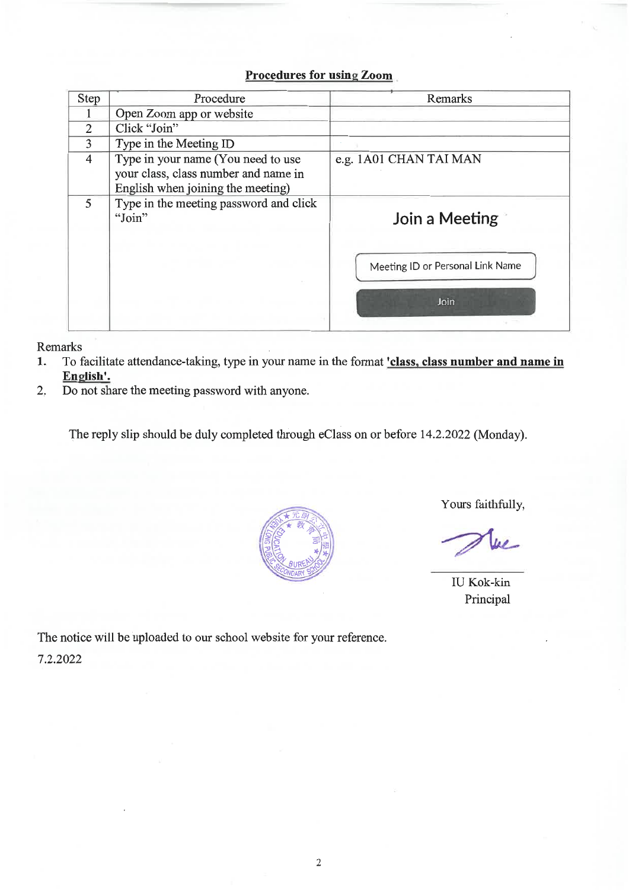## **Procedures for using Zoom**

| Step           | Procedure                                                                                                       | Remarks                          |
|----------------|-----------------------------------------------------------------------------------------------------------------|----------------------------------|
|                | Open Zoom app or website                                                                                        |                                  |
| $\overline{2}$ | Click "Join"                                                                                                    |                                  |
| 3              | Type in the Meeting ID                                                                                          |                                  |
| $\overline{4}$ | Type in your name (You need to use<br>your class, class number and name in<br>English when joining the meeting) | e.g. 1A01 CHAN TAI MAN           |
| 5              | Type in the meeting password and click<br>"Join"                                                                | Join a Meeting                   |
|                |                                                                                                                 | Meeting ID or Personal Link Name |
|                |                                                                                                                 | Join                             |

Remarks

- To facilitate attendance-taking, type in your name in the format *class*, class number and name in 1. English'.
- Do not share the meeting password with anyone.  $\overline{2}$ .

The reply slip should be duly completed through eClass on or before 14.2.2022 (Monday).



Yours faithfully,

 $\mu$ 

**IU Kok-kin** Principal

The notice will be uploaded to our school website for your reference. 7.2.2022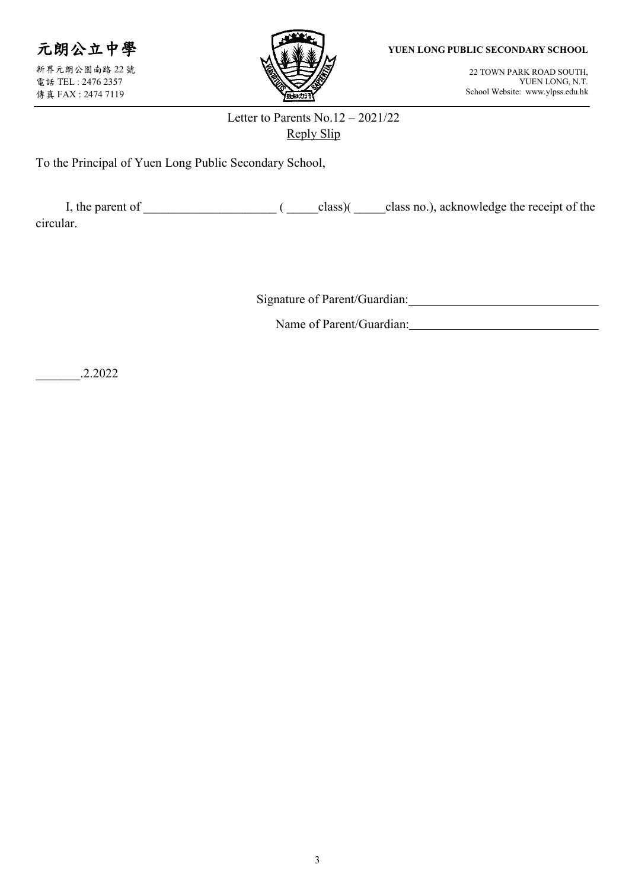

新界元朗公園南路 22 號 電話 TEL : 2476 2357 傳真 FAX : 2474 7119



**YUEN LONG PUBLIC SECONDARY SCHOOL**

22 TOWN PARK ROAD SOUTH, YUEN LONG, N.T. School Website: www.ylpss.edu.hk

## Letter to Parents No.12 – 2021/22 Reply Slip

To the Principal of Yuen Long Public Secondary School,

| I, the parent of |  | class) | class no.), acknowledge the receipt of the |
|------------------|--|--------|--------------------------------------------|
| circular.        |  |        |                                            |

Signature of Parent/Guardian:

Name of Parent/Guardian: University of Parent/Guardian:

\_\_\_\_\_\_\_.2.2022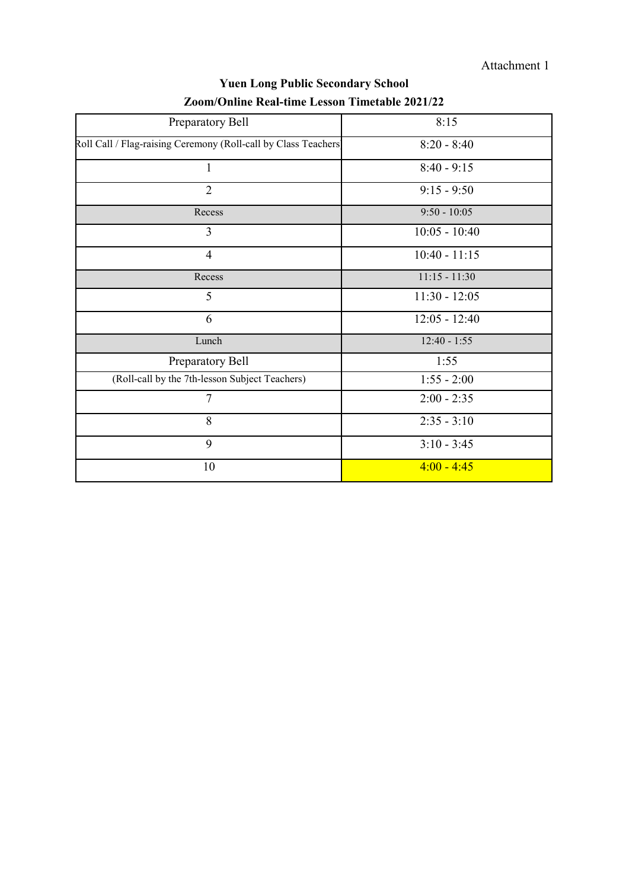Attachment 1

| Preparatory Bell                                                | 8:15            |
|-----------------------------------------------------------------|-----------------|
| Roll Call / Flag-raising Ceremony (Roll-call by Class Teachers) | $8:20 - 8:40$   |
| 1                                                               | $8:40 - 9:15$   |
| $\overline{2}$                                                  | $9:15 - 9:50$   |
| Recess                                                          | $9:50 - 10:05$  |
| 3                                                               | $10:05 - 10:40$ |
| $\overline{4}$                                                  | $10:40 - 11:15$ |
| Recess                                                          | $11:15 - 11:30$ |
| 5                                                               | $11:30 - 12:05$ |
| 6                                                               | $12:05 - 12:40$ |
| Lunch                                                           | $12:40 - 1:55$  |
| Preparatory Bell                                                | 1:55            |
| (Roll-call by the 7th-lesson Subject Teachers)                  | $1:55 - 2:00$   |
| $\overline{7}$                                                  | $2:00 - 2:35$   |
| 8                                                               | $2:35 - 3:10$   |
| 9                                                               | $3:10 - 3:45$   |
| 10                                                              | $4:00 - 4:45$   |

## **Yuen Long Public Secondary School Zoom/Online Real-time Lesson Timetable 2021/22**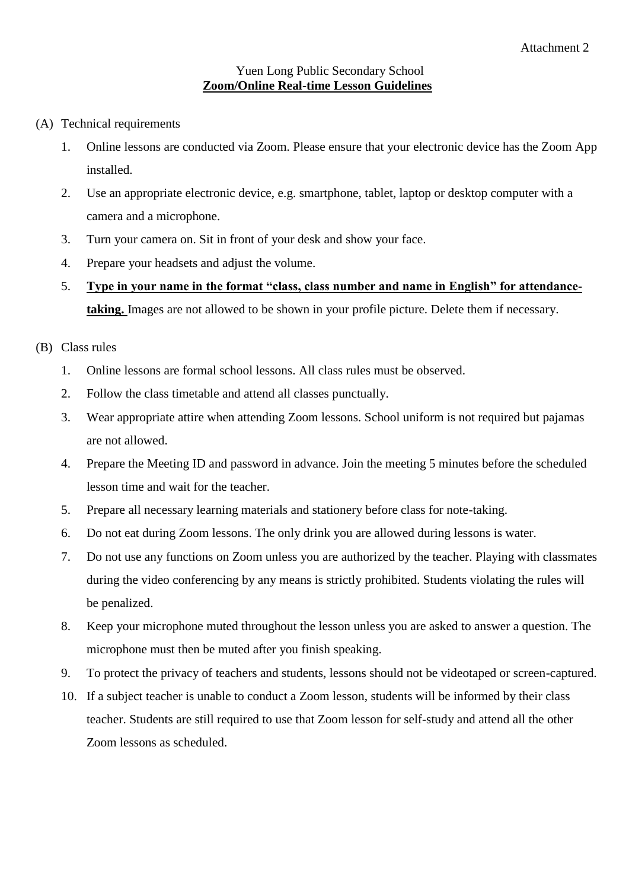#### Yuen Long Public Secondary School **Zoom/Online Real-time Lesson Guidelines**

- (A) Technical requirements
	- 1. Online lessons are conducted via Zoom. Please ensure that your electronic device has the Zoom App installed.
	- 2. Use an appropriate electronic device, e.g. smartphone, tablet, laptop or desktop computer with a camera and a microphone.
	- 3. Turn your camera on. Sit in front of your desk and show your face.
	- 4. Prepare your headsets and adjust the volume.
	- 5. **Type in your name in the format "class, class number and name in English" for attendancetaking.** Images are not allowed to be shown in your profile picture. Delete them if necessary.

### (B) Class rules

- 1. Online lessons are formal school lessons. All class rules must be observed.
- 2. Follow the class timetable and attend all classes punctually.
- 3. Wear appropriate attire when attending Zoom lessons. School uniform is not required but pajamas are not allowed.
- 4. Prepare the Meeting ID and password in advance. Join the meeting 5 minutes before the scheduled lesson time and wait for the teacher.
- 5. Prepare all necessary learning materials and stationery before class for note-taking.
- 6. Do not eat during Zoom lessons. The only drink you are allowed during lessons is water.
- 7. Do not use any functions on Zoom unless you are authorized by the teacher. Playing with classmates during the video conferencing by any means is strictly prohibited. Students violating the rules will be penalized.
- 8. Keep your microphone muted throughout the lesson unless you are asked to answer a question. The microphone must then be muted after you finish speaking.
- 9. To protect the privacy of teachers and students, lessons should not be videotaped or screen-captured.
- 10. If a subject teacher is unable to conduct a Zoom lesson, students will be informed by their class teacher. Students are still required to use that Zoom lesson for self-study and attend all the other Zoom lessons as scheduled.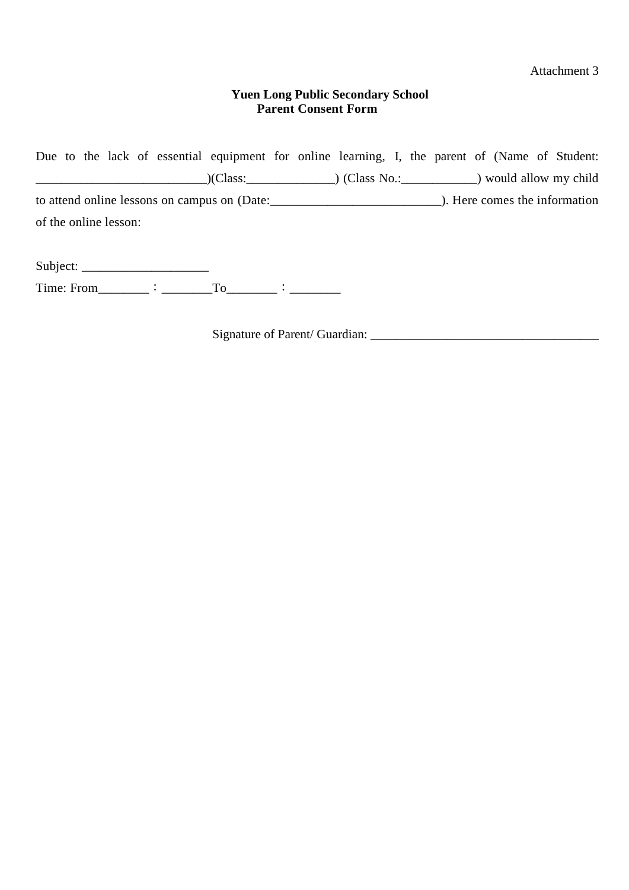Attachment 3

### **Yuen Long Public Secondary School Parent Consent Form**

Due to the lack of essential equipment for online learning, I, the parent of (Name of Student: \_\_\_\_\_\_\_\_\_\_\_\_\_\_\_\_\_\_\_\_\_\_\_\_\_\_\_)(Class:\_\_\_\_\_\_\_\_\_\_\_\_\_\_) (Class No.:\_\_\_\_\_\_\_\_\_\_\_\_) would allow my child to attend online lessons on campus on (Date:\_\_\_\_\_\_\_\_\_\_\_\_\_\_\_\_\_\_\_\_\_\_\_\_\_\_\_). Here comes the information of the online lesson:

Subject: \_\_\_\_\_\_\_\_\_\_\_\_\_\_\_\_\_\_\_\_ Time: From  $\qquad :$   $\qquad \qquad$   $\qquad \qquad$   $\qquad \qquad$   $\qquad \qquad$   $\qquad \qquad$   $\qquad \qquad$   $\qquad \qquad$   $\qquad \qquad$   $\qquad \qquad$   $\qquad \qquad$   $\qquad \qquad$   $\qquad$   $\qquad \qquad$   $\qquad \qquad$   $\qquad$   $\qquad \qquad$   $\qquad$   $\qquad$   $\qquad$   $\qquad$   $\qquad$   $\qquad$   $\qquad$   $\qquad$   $\qquad$   $\qquad$   $\qquad$ 

Signature of Parent/ Guardian: \_\_\_\_\_\_\_\_\_\_\_\_\_\_\_\_\_\_\_\_\_\_\_\_\_\_\_\_\_\_\_\_\_\_\_\_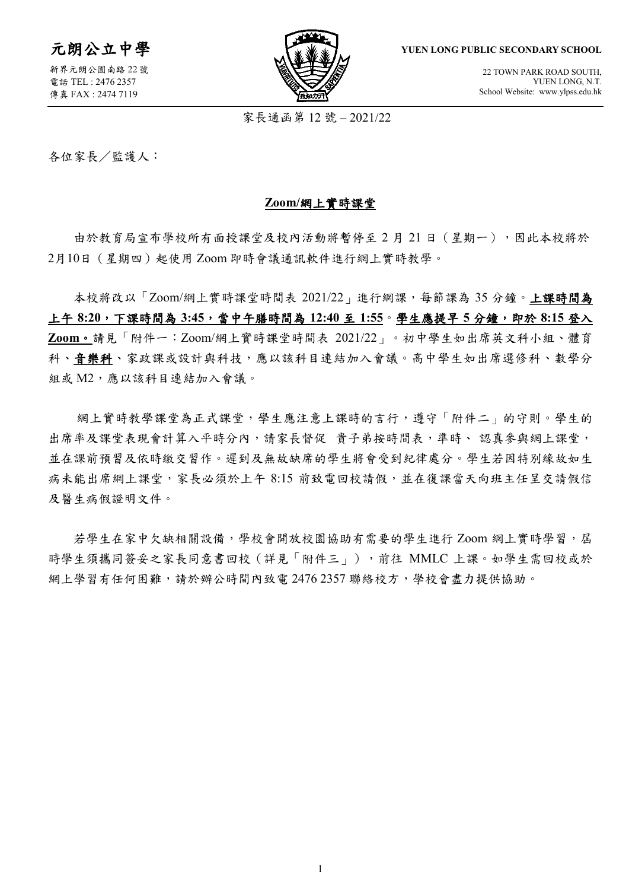元朗公立中學

新界元朗公園南路 22 號 電話 TEL : 2476 2357 傳真 FAX : 2474 7119



**YUEN LONG PUBLIC SECONDARY SCHOOL**

22 TOWN PARK ROAD SOUTH, YUEN LONG, N.T. School Website: www.ylpss.edu.hk

家長通函第 12 號 – 2021/22

各位家長/監護人:

#### **Zoom/**網上實時課堂

由於教育局宣布學校所有面授課堂及校內活動將暫停至 2 月 21 日(星期一),因此本校將於 2月10日(星期四)起使用 Zoom 即時會議通訊軟件進行網上實時教學。

本校將改以「Zoom/網上實時課堂時間表 2021/22」進行網課,每節課為 35 分鐘。上課時間為 上午 **8:20**,下課時間為 **3:45**,當中午膳時間為 **12:40** 至 **1:55**。學生應提早 **5** 分鐘,即於 **8:15** 登入 **Zoom**。請見「附件一:Zoom/網上實時課堂時間表 2021/22」。初中學生如出席英文科小組、體育 科、音樂科、家政課或設計與科技,應以該科目連結加入會議。高中學生如出席選修科、數學分 組或 M2,應以該科目連結加入會議。

網上實時教學課堂為正式課堂,學生應注意上課時的言行,遵守「附件二」的守則。學生的 出席率及課堂表現會計算入平時分內,請家長督促 貴子弟按時間表,準時、認真參與網上課堂, 並在課前預習及依時繳交習作。遲到及無故缺席的學生將會受到紀律處分。學生若因特別緣故如生 病未能出席網上課堂,家長必須於上午 8:15 前致電回校請假,並在復課當天向班主任呈交請假信 及醫生病假證明文件。

若學生在家中欠缺相關設備,學校會開放校園協助有需要的學生進行 Zoom 網上實時學習,屆 時學生須攜同簽妥之家長同意書回校(詳見「附件三」),前往 MMLC 上課。如學生需回校或於 網上學習有任何困難,請於辦公時間內致電 2476 2357 聯絡校方,學校會盡力提供協助。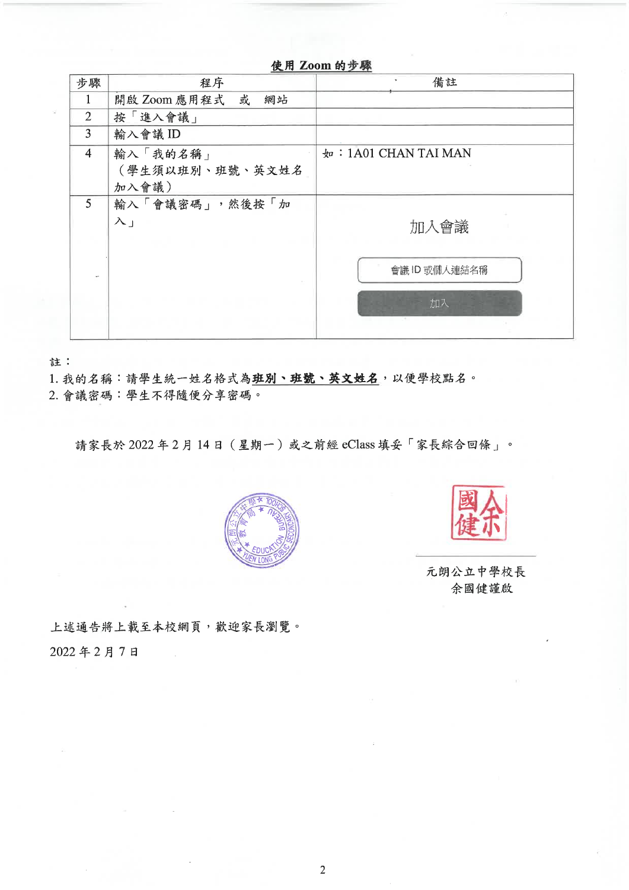|                | 使用 Zoom 的步骤                          |                      |  |
|----------------|--------------------------------------|----------------------|--|
| 步驟             | 程序                                   | 備註                   |  |
| 1              | 開啟 Zoom 應用程式 或<br>網站                 |                      |  |
| $\overline{2}$ | 按「進入會議」                              |                      |  |
| 3              | 輸入會議 ID                              |                      |  |
| $\overline{4}$ | 輸入「我的名稱」<br>(學生須以班別、班號、英文姓名<br>加入會議) | 如: 1A01 CHAN TAI MAN |  |
| 5              | 輸入「會議密碼」,然後按「加<br>$\lambda_{\perp}$  | 加入會議                 |  |
|                |                                      | 會議ID 或個人連結名稱<br>加入   |  |

註:

1. 我的名稱:請學生統一姓名格式為班別、班號、英文姓名,以便學校點名。

2. 會議密碼:學生不得隨便分享密碼。

請家長於 2022年2月14日 (星期一)或之前經 eClass 填妥「家長綜合回條」。





元朗公立中學校長 余國健謹啟

上述通告將上載至本校網頁,歡迎家長瀏覽。 2022年2月7日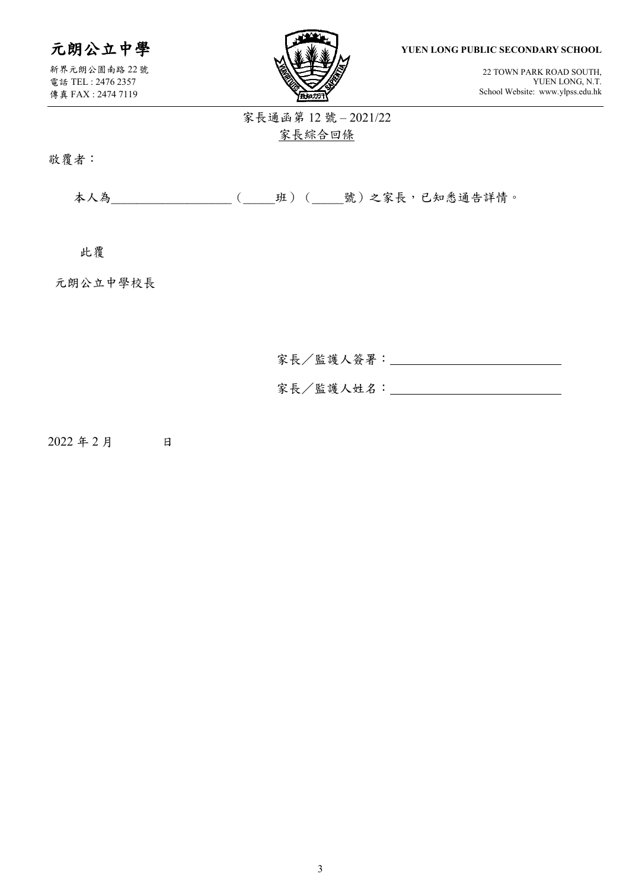# 元朗公立中學

新界元朗公園南路 22 號 電話 TEL : 2476 2357 傳真 FAX : 2474 7119



**YUEN LONG PUBLIC SECONDARY SCHOOL**

22 TOWN PARK ROAD SOUTH, YUEN LONG, N.T. School Website: www.ylpss.edu.hk

## 家長通函第 12 號 – 2021/22 家長綜合回條

敬覆者:

本人為\_\_\_\_\_\_\_\_\_\_\_\_\_\_\_\_\_\_\_(\_\_\_\_\_班)(\_\_\_\_\_號)之家長,已知悉通告詳情。

此覆

元朗公立中學校長

| 家長/監護人簽署: |  |
|-----------|--|
| 家長/監護人姓名: |  |

2022 年 2 月 日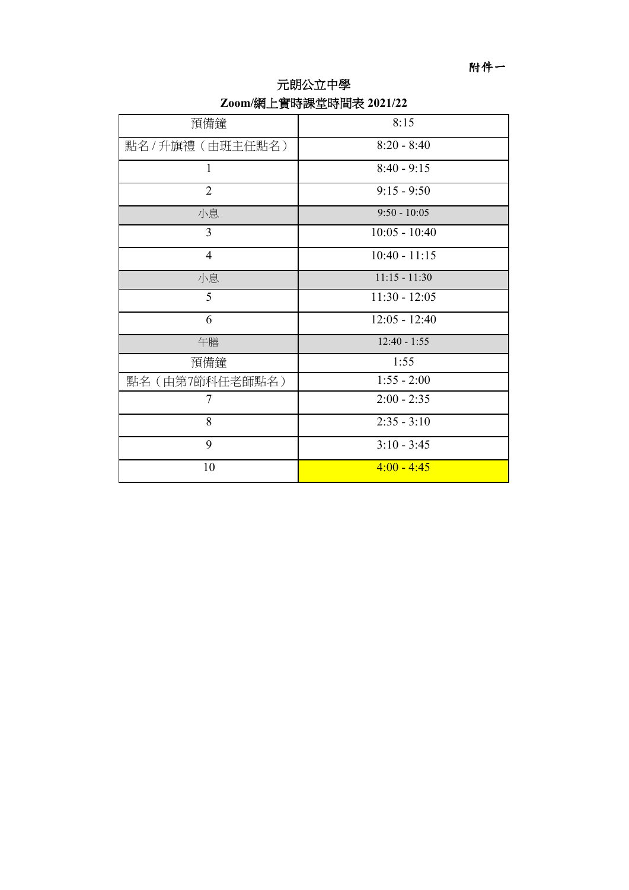附件一

| 預備鐘              | 8:15            |
|------------------|-----------------|
| 點名 / 升旗禮(由班主任點名) | $8:20 - 8:40$   |
| $\mathbf{1}$     | $8:40 - 9:15$   |
| $\overline{2}$   | $9:15 - 9:50$   |
| 小息               | $9:50 - 10:05$  |
| 3                | $10:05 - 10:40$ |
| $\overline{4}$   | $10:40 - 11:15$ |
| 小息               | $11:15 - 11:30$ |
| 5                | $11:30 - 12:05$ |
| 6                | $12:05 - 12:40$ |
| 午膳               | $12:40 - 1:55$  |
| 預備鐘              | 1:55            |
| 點名(由第7節科任老師點名)   | $1:55 - 2:00$   |
| $\tau$           | $2:00 - 2:35$   |
| 8                | $2:35 - 3:10$   |
| 9                | $3:10 - 3:45$   |
| 10               | $4:00 - 4:45$   |

## **Zoom/**網上實時課堂時間表 **2021/22** 元朗公立中學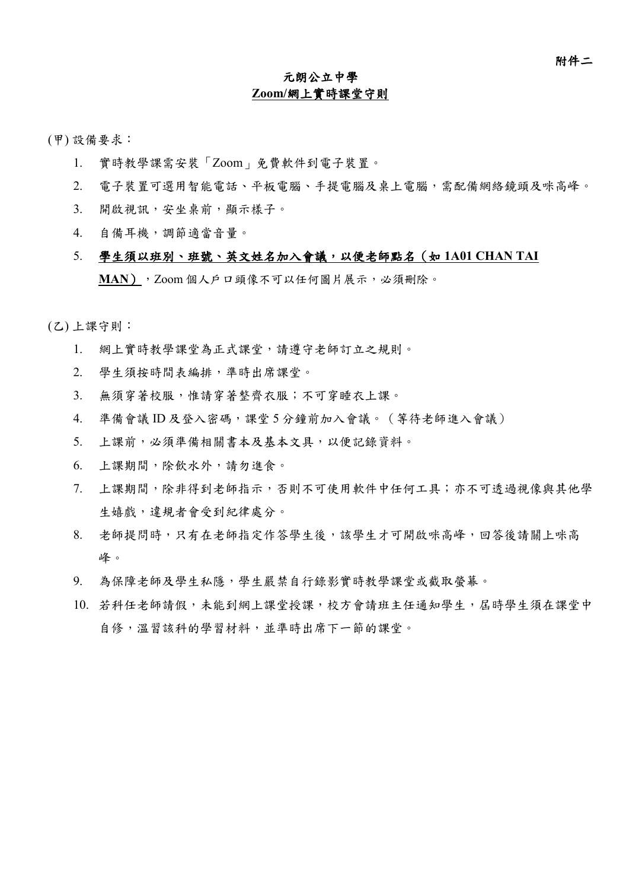### 元朗公立中學 **Zoom/**網上實時課堂守則

(甲) 設備要求:

- 1. 實時教學課需安裝「Zoom」免費軟件到電子裝置。
- 2. 電子裝置可選用智能電話、平板電腦、手提電腦及桌上電腦,需配備網絡鏡頭及咪高峰。
- 3. 開啟視訊,安坐桌前,顯示樣子。
- 4. 自備耳機,調節適當音量。
- 5. 學生須以班別、班號、英文姓名加入會議,以便老師點名(如 **1A01 CHAN TAI MAN**),Zoom 個人戶口頭像不可以任何圖片展示,必須刪除。

(乙) 上課守則:

- 1. 網上實時教學課堂為正式課堂,請遵守老師訂立之規則。
- 2. 學生須按時間表編排,準時出席課堂。
- 3. 無須穿著校服,惟請穿著整齊衣服;不可穿睡衣上課。
- 4. 準備會議 ID 及登入密碼,課堂 5 分鐘前加入會議。 (等待老師進入會議)
- 5. 上課前,必須準備相關書本及基本文具,以便記錄資料。
- 6. 上課期間,除飲水外,請勿進食。
- 7. 上課期間,除非得到老師指示,否則不可使用軟件中任何工具;亦不可透過視像與其他學 生嬉戲,違規者會受到紀律處分。
- 8. 老師提問時,只有在老師指定作答學生後,該學生才可開啟咪高峰,回答後請關上咪高 峰。
- 9. 為保障老師及學生私隱,學生嚴禁自行錄影實時教學課堂或截取螢幕。
- 10. 若科任老師請假,未能到網上課堂授課,校方會請班主任通知學生,屆時學生須在課堂中 自修,溫習該科的學習材料,並準時出席下一節的課堂。